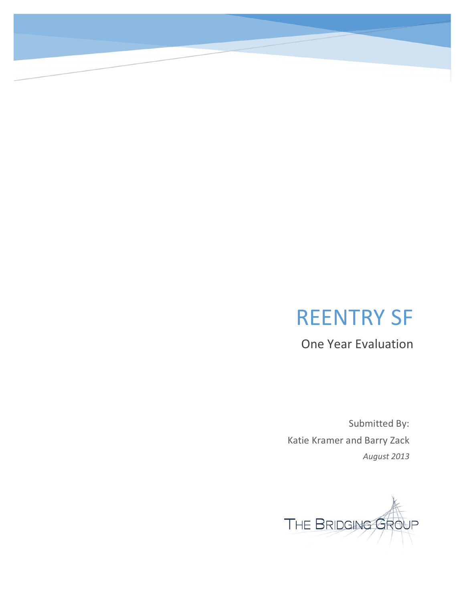# REENTRY SF

One Year Evaluation

Submitted By: Katie Kramer and Barry Zack *August 2013*

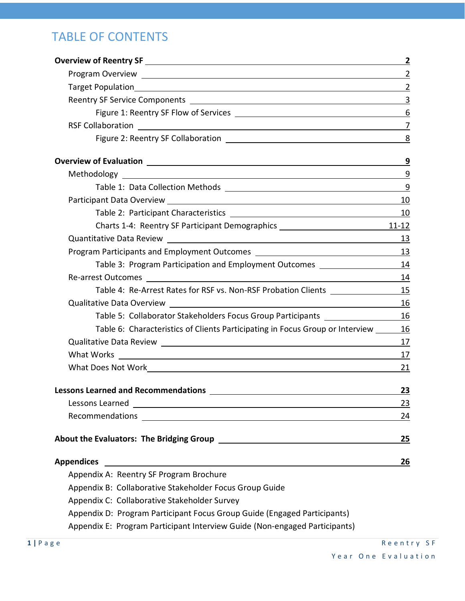### TABLE OF CONTENTS

|                                                                                                                                                                                                                                     | $\mathbf{2}$     |
|-------------------------------------------------------------------------------------------------------------------------------------------------------------------------------------------------------------------------------------|------------------|
| Program Overview 2                                                                                                                                                                                                                  |                  |
|                                                                                                                                                                                                                                     | $\overline{2}$   |
|                                                                                                                                                                                                                                     | $\overline{3}$   |
|                                                                                                                                                                                                                                     | $\boldsymbol{6}$ |
|                                                                                                                                                                                                                                     | $\overline{7}$   |
| Figure 2: Reentry SF Collaboration <u>[1944]</u> The collection of the collection of the collection of the collection of the collection of the collection of the collection of the collection of the collection of the collection o |                  |
|                                                                                                                                                                                                                                     | 9                |
|                                                                                                                                                                                                                                     | 9                |
| Table 1: Data Collection Methods 2008 2009 2012 2022 2023 2024 2022 2023 2024 2022 2023 2024 2022 2023 2024 20                                                                                                                      |                  |
|                                                                                                                                                                                                                                     | 10               |
|                                                                                                                                                                                                                                     |                  |
| Charts 1-4: Reentry SF Participant Demographics _________________________________11-12                                                                                                                                              |                  |
|                                                                                                                                                                                                                                     |                  |
|                                                                                                                                                                                                                                     |                  |
|                                                                                                                                                                                                                                     |                  |
|                                                                                                                                                                                                                                     | 14               |
| Table 4: Re-Arrest Rates for RSF vs. Non-RSF Probation Clients _________________                                                                                                                                                    | 15               |
|                                                                                                                                                                                                                                     | 16               |
| Table 5: Collaborator Stakeholders Focus Group Participants ____________________                                                                                                                                                    | 16               |
| Table 6: Characteristics of Clients Participating in Focus Group or Interview                                                                                                                                                       | 16               |
|                                                                                                                                                                                                                                     | 17               |
|                                                                                                                                                                                                                                     | 17               |
|                                                                                                                                                                                                                                     | 21               |
| <b>Lessons Learned and Recommendations</b>                                                                                                                                                                                          | <u>23</u>        |
|                                                                                                                                                                                                                                     | 23               |
|                                                                                                                                                                                                                                     | 24               |
|                                                                                                                                                                                                                                     | 25               |
| <b>Appendices</b><br><u> 1989 - Johann Stoff, deutscher Stoffen und der Stoffen und der Stoffen und der Stoffen und der Stoffen und de</u>                                                                                          | <u>26</u>        |
| Appendix A: Reentry SF Program Brochure                                                                                                                                                                                             |                  |
| Appendix B: Collaborative Stakeholder Focus Group Guide                                                                                                                                                                             |                  |
| Appendix C: Collaborative Stakeholder Survey                                                                                                                                                                                        |                  |
| Appendix D: Program Participant Focus Group Guide (Engaged Participants)                                                                                                                                                            |                  |
| Appendix E: Program Participant Interview Guide (Non-engaged Participants)                                                                                                                                                          |                  |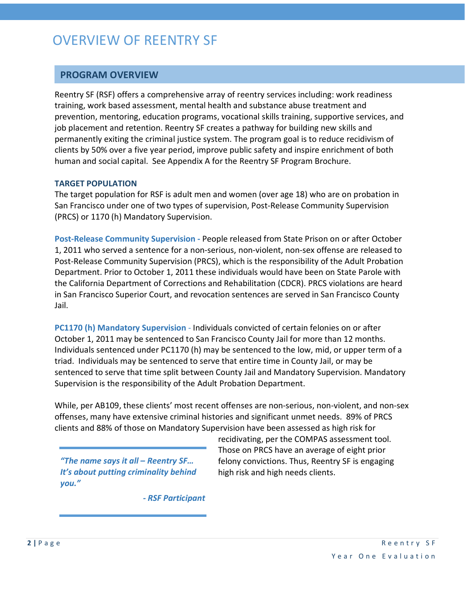## OVERVIEW OF REENTRY SF

#### **PROGRAM OVERVIEW**

Reentry SF (RSF) offers a comprehensive array of reentry services including: work readiness training, work based assessment, mental health and substance abuse treatment and prevention, mentoring, education programs, vocational skills training, supportive services, and job placement and retention. Reentry SF creates a pathway for building new skills and permanently exiting the criminal justice system. The program goal is to reduce recidivism of clients by 50% over a five year period, improve public safety and inspire enrichment of both human and social capital. See Appendix A for the Reentry SF Program Brochure.

#### **TARGET POPULATION**

The target population for RSF is adult men and women (over age 18) who are on probation in San Francisco under one of two types of supervision, Post-Release Community Supervision (PRCS) or 1170 (h) Mandatory Supervision.

**Post-Release Community Supervision -** People released from State Prison on or after October 1, 2011 who served a sentence for a non-serious, non-violent, non-sex offense are released to Post-Release Community Supervision (PRCS), which is the responsibility of the Adult Probation Department. Prior to October 1, 2011 these individuals would have been on State Parole with the California Department of Corrections and Rehabilitation (CDCR). PRCS violations are heard in San Francisco Superior Court, and revocation sentences are served in San Francisco County Jail.

**PC1170 (h) Mandatory Supervision** - Individuals convicted of certain felonies on or after October 1, 2011 may be sentenced to San Francisco County Jail for more than 12 months. Individuals sentenced under PC1170 (h) may be sentenced to the low, mid, or upper term of a triad. Individuals may be sentenced to serve that entire time in County Jail, or may be sentenced to serve that time split between County Jail and Mandatory Supervision. Mandatory Supervision is the responsibility of the Adult Probation Department.

While, per AB109, these clients' most recent offenses are non-serious, non-violent, and non-sex offenses, many have extensive criminal histories and significant unmet needs. 89% of PRCS clients and 88% of those on Mandatory Supervision have been assessed as high risk for

*"The name says it all – Reentry SF… It's about putting criminality behind you."*

recidivating, per the COMPAS assessment tool. Those on PRCS have an average of eight prior felony convictions. Thus, Reentry SF is engaging high risk and high needs clients.

*- RSF Participant*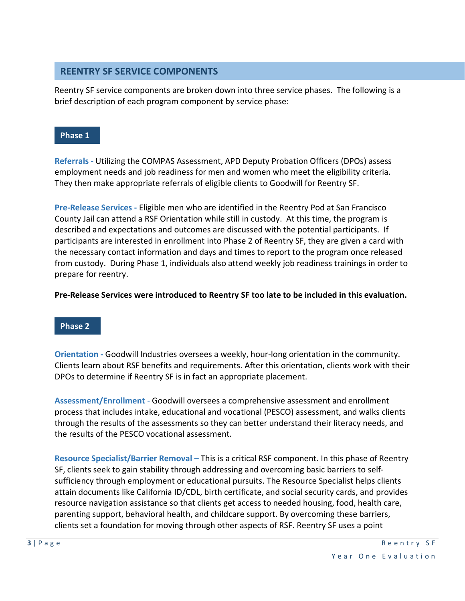#### **REENTRY SF SERVICE COMPONENTS**

Reentry SF service components are broken down into three service phases. The following is a brief description of each program component by service phase:

#### **Phase 1**

**Referrals -** Utilizing the COMPAS Assessment, APD Deputy Probation Officers (DPOs) assess employment needs and job readiness for men and women who meet the eligibility criteria. They then make appropriate referrals of eligible clients to Goodwill for Reentry SF.

**Pre-Release Services -** Eligible men who are identified in the Reentry Pod at San Francisco County Jail can attend a RSF Orientation while still in custody. At this time, the program is described and expectations and outcomes are discussed with the potential participants. If participants are interested in enrollment into Phase 2 of Reentry SF, they are given a card with the necessary contact information and days and times to report to the program once released from custody. During Phase 1, individuals also attend weekly job readiness trainings in order to prepare for reentry.

**Pre-Release Services were introduced to Reentry SF too late to be included in this evaluation.**

#### **Phase 2**

**Orientation -** Goodwill Industries oversees a weekly, hour-long orientation in the community. Clients learn about RSF benefits and requirements. After this orientation, clients work with their DPOs to determine if Reentry SF is in fact an appropriate placement.

**Assessment/Enrollment** - Goodwill oversees a comprehensive assessment and enrollment process that includes intake, educational and vocational (PESCO) assessment, and walks clients through the results of the assessments so they can better understand their literacy needs, and the results of the PESCO vocational assessment.

**Resource Specialist/Barrier Removal** – This is a critical RSF component. In this phase of Reentry SF, clients seek to gain stability through addressing and overcoming basic barriers to selfsufficiency through employment or educational pursuits. The Resource Specialist helps clients attain documents like California ID/CDL, birth certificate, and social security cards, and provides resource navigation assistance so that clients get access to needed housing, food, health care, parenting support, behavioral health, and childcare support. By overcoming these barriers, clients set a foundation for moving through other aspects of RSF. Reentry SF uses a point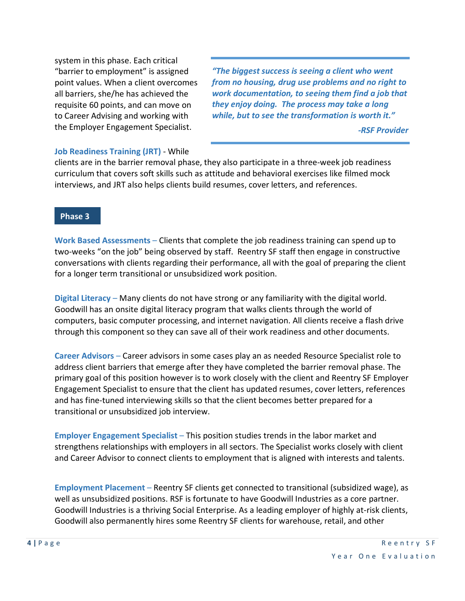system in this phase. Each critical "barrier to employment" is assigned point values. When a client overcomes all barriers, she/he has achieved the requisite 60 points, and can move on to Career Advising and working with the Employer Engagement Specialist.

*"The biggest success is seeing a client who went from no housing, drug use problems and no right to work documentation, to seeing them find a job that they enjoy doing. The process may take a long while, but to see the transformation is worth it."*

*-RSF Provider*

#### **Job Readiness Training (JRT)** - While

clients are in the barrier removal phase, they also participate in a three-week job readiness curriculum that covers soft skills such as attitude and behavioral exercises like filmed mock interviews, and JRT also helps clients build resumes, cover letters, and references.

#### **Phase 3**

**Work Based Assessments** – Clients that complete the job readiness training can spend up to two-weeks "on the job" being observed by staff. Reentry SF staff then engage in constructive conversations with clients regarding their performance, all with the goal of preparing the client for a longer term transitional or unsubsidized work position.

**Digital Literacy** – Many clients do not have strong or any familiarity with the digital world. Goodwill has an onsite digital literacy program that walks clients through the world of computers, basic computer processing, and internet navigation. All clients receive a flash drive through this component so they can save all of their work readiness and other documents.

**Career Advisors** – Career advisors in some cases play an as needed Resource Specialist role to address client barriers that emerge after they have completed the barrier removal phase. The primary goal of this position however is to work closely with the client and Reentry SF Employer Engagement Specialist to ensure that the client has updated resumes, cover letters, references and has fine-tuned interviewing skills so that the client becomes better prepared for a transitional or unsubsidized job interview.

**Employer Engagement Specialist** – This position studies trends in the labor market and strengthens relationships with employers in all sectors. The Specialist works closely with client and Career Advisor to connect clients to employment that is aligned with interests and talents.

**Employment Placement** – Reentry SF clients get connected to transitional (subsidized wage), as well as unsubsidized positions. RSF is fortunate to have Goodwill Industries as a core partner. Goodwill Industries is a thriving Social Enterprise. As a leading employer of highly at-risk clients, Goodwill also permanently hires some Reentry SF clients for warehouse, retail, and other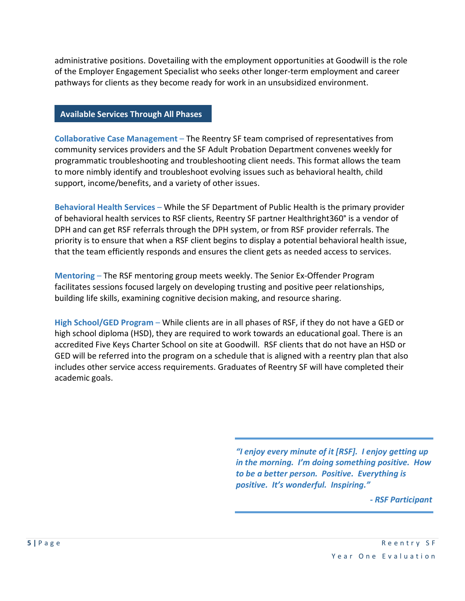administrative positions. Dovetailing with the employment opportunities at Goodwill is the role of the Employer Engagement Specialist who seeks other longer-term employment and career pathways for clients as they become ready for work in an unsubsidized environment.

#### **Available Services Through All Phases**

**Collaborative Case Management** – The Reentry SF team comprised of representatives from community services providers and the SF Adult Probation Department convenes weekly for programmatic troubleshooting and troubleshooting client needs. This format allows the team to more nimbly identify and troubleshoot evolving issues such as behavioral health, child support, income/benefits, and a variety of other issues.

**Behavioral Health Services** – While the SF Department of Public Health is the primary provider of behavioral health services to RSF clients, Reentry SF partner Healthright360° is a vendor of DPH and can get RSF referrals through the DPH system, or from RSF provider referrals. The priority is to ensure that when a RSF client begins to display a potential behavioral health issue, that the team efficiently responds and ensures the client gets as needed access to services.

**Mentoring** – The RSF mentoring group meets weekly. The Senior Ex-Offender Program facilitates sessions focused largely on developing trusting and positive peer relationships, building life skills, examining cognitive decision making, and resource sharing.

**High School/GED Program** – While clients are in all phases of RSF, if they do not have a GED or high school diploma (HSD), they are required to work towards an educational goal. There is an accredited Five Keys Charter School on site at Goodwill. RSF clients that do not have an HSD or GED will be referred into the program on a schedule that is aligned with a reentry plan that also includes other service access requirements. Graduates of Reentry SF will have completed their academic goals.

> *"I enjoy every minute of it [RSF]. I enjoy getting up in the morning. I'm doing something positive. How to be a better person. Positive. Everything is positive. It's wonderful. Inspiring."*

> > *- RSF Participant*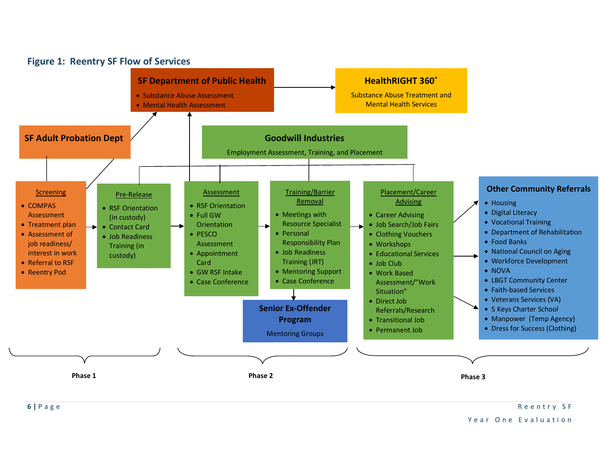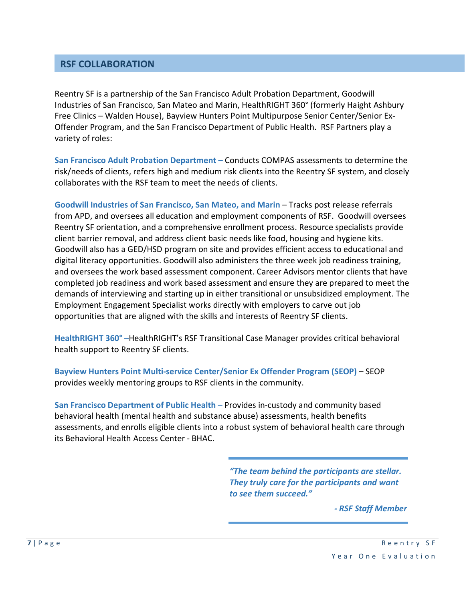#### **RSF COLLABORATION**

Reentry SF is a partnership of the San Francisco Adult Probation Department, Goodwill Industries of San Francisco, San Mateo and Marin, HealthRIGHT 360° (formerly Haight Ashbury Free Clinics – Walden House), Bayview Hunters Point Multipurpose Senior Center/Senior Ex-Offender Program, and the San Francisco Department of Public Health. RSF Partners play a variety of roles:

**San Francisco Adult Probation Department** – Conducts COMPAS assessments to determine the risk/needs of clients, refers high and medium risk clients into the Reentry SF system, and closely collaborates with the RSF team to meet the needs of clients.

**Goodwill Industries of San Francisco, San Mateo, and Marin** – Tracks post release referrals from APD, and oversees all education and employment components of RSF. Goodwill oversees Reentry SF orientation, and a comprehensive enrollment process. Resource specialists provide client barrier removal, and address client basic needs like food, housing and hygiene kits. Goodwill also has a GED/HSD program on site and provides efficient access to educational and digital literacy opportunities. Goodwill also administers the three week job readiness training, and oversees the work based assessment component. Career Advisors mentor clients that have completed job readiness and work based assessment and ensure they are prepared to meet the demands of interviewing and starting up in either transitional or unsubsidized employment. The Employment Engagement Specialist works directly with employers to carve out job opportunities that are aligned with the skills and interests of Reentry SF clients.

**HealthRIGHT 360°** –HealthRIGHT's RSF Transitional Case Manager provides critical behavioral health support to Reentry SF clients.

**Bayview Hunters Point Multi-service Center/Senior Ex Offender Program (SEOP)** – SEOP provides weekly mentoring groups to RSF clients in the community.

**San Francisco Department of Public Health** – Provides in-custody and community based behavioral health (mental health and substance abuse) assessments, health benefits assessments, and enrolls eligible clients into a robust system of behavioral health care through its Behavioral Health Access Center - BHAC.

> *"The team behind the participants are stellar. They truly care for the participants and want to see them succeed."*

> > *- RSF Staff Member*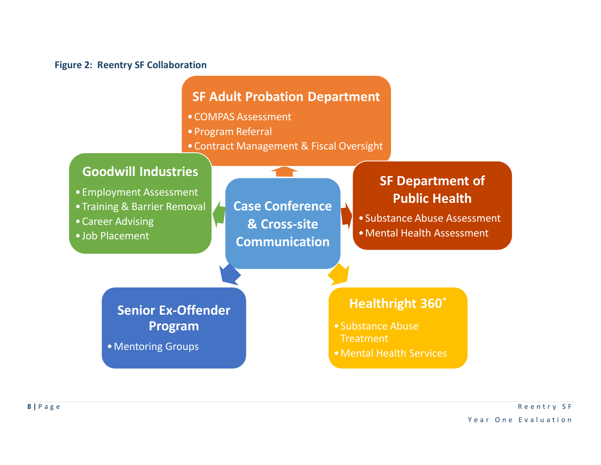#### **Figure 2: Reentry SF Collaboration**

### **SF Adult Probation Department**

- •COMPAS Assessment
- •Program Referral
- •Contract Management & Fiscal Oversight

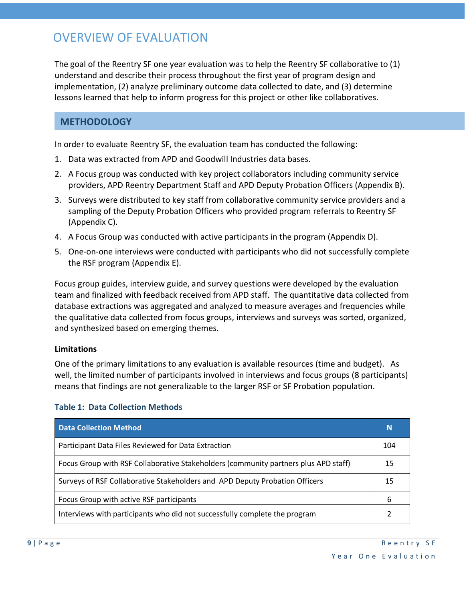### OVERVIEW OF EVALUATION

The goal of the Reentry SF one year evaluation was to help the Reentry SF collaborative to (1) understand and describe their process throughout the first year of program design and implementation, (2) analyze preliminary outcome data collected to date, and (3) determine lessons learned that help to inform progress for this project or other like collaboratives.

#### **METHODOLOGY**

In order to evaluate Reentry SF, the evaluation team has conducted the following:

- 1. Data was extracted from APD and Goodwill Industries data bases.
- 2. A Focus group was conducted with key project collaborators including community service providers, APD Reentry Department Staff and APD Deputy Probation Officers (Appendix B).
- 3. Surveys were distributed to key staff from collaborative community service providers and a sampling of the Deputy Probation Officers who provided program referrals to Reentry SF (Appendix C).
- 4. A Focus Group was conducted with active participants in the program (Appendix D).
- 5. One-on-one interviews were conducted with participants who did not successfully complete the RSF program (Appendix E).

Focus group guides, interview guide, and survey questions were developed by the evaluation team and finalized with feedback received from APD staff. The quantitative data collected from database extractions was aggregated and analyzed to measure averages and frequencies while the qualitative data collected from focus groups, interviews and surveys was sorted, organized, and synthesized based on emerging themes.

#### **Limitations**

One of the primary limitations to any evaluation is available resources (time and budget). As well, the limited number of participants involved in interviews and focus groups (8 participants) means that findings are not generalizable to the larger RSF or SF Probation population.

| <b>Data Collection Method</b>                                                       | N   |
|-------------------------------------------------------------------------------------|-----|
| Participant Data Files Reviewed for Data Extraction                                 | 104 |
| Focus Group with RSF Collaborative Stakeholders (community partners plus APD staff) | 15  |
| Surveys of RSF Collaborative Stakeholders and APD Deputy Probation Officers         | 15  |
| Focus Group with active RSF participants                                            | 6   |
| Interviews with participants who did not successfully complete the program          |     |

#### **Table 1: Data Collection Methods**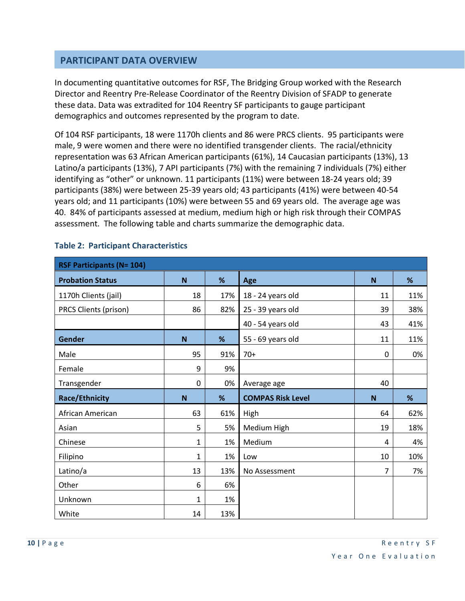#### **PARTICIPANT DATA OVERVIEW**

In documenting quantitative outcomes for RSF, The Bridging Group worked with the Research Director and Reentry Pre-Release Coordinator of the Reentry Division of SFADP to generate these data. Data was extradited for 104 Reentry SF participants to gauge participant demographics and outcomes represented by the program to date.

Of 104 RSF participants, 18 were 1170h clients and 86 were PRCS clients. 95 participants were male, 9 were women and there were no identified transgender clients. The racial/ethnicity representation was 63 African American participants (61%), 14 Caucasian participants (13%), 13 Latino/a participants (13%), 7 API participants (7%) with the remaining 7 individuals (7%) either identifying as "other" or unknown. 11 participants (11%) were between 18-24 years old; 39 participants (38%) were between 25-39 years old; 43 participants (41%) were between 40-54 years old; and 11 participants (10%) were between 55 and 69 years old. The average age was 40. 84% of participants assessed at medium, medium high or high risk through their COMPAS assessment. The following table and charts summarize the demographic data.

| <b>RSF Participants (N= 104)</b> |              |     |                          |    |     |
|----------------------------------|--------------|-----|--------------------------|----|-----|
| <b>Probation Status</b>          | N            | %   | Age                      | N  | %   |
| 1170h Clients (jail)             | 18           | 17% | 18 - 24 years old        | 11 | 11% |
| PRCS Clients (prison)            | 86           | 82% | 25 - 39 years old        | 39 | 38% |
|                                  |              |     | 40 - 54 years old        | 43 | 41% |
| Gender                           | $\mathbf N$  | %   | 55 - 69 years old        | 11 | 11% |
| Male                             | 95           | 91% | $70+$                    | 0  | 0%  |
| Female                           | 9            | 9%  |                          |    |     |
| Transgender                      | $\mathbf 0$  | 0%  | Average age              | 40 |     |
|                                  |              |     |                          |    |     |
| <b>Race/Ethnicity</b>            | N            | %   | <b>COMPAS Risk Level</b> | N  | %   |
| African American                 | 63           | 61% | High                     | 64 | 62% |
| Asian                            | 5            | 5%  | Medium High              | 19 | 18% |
| Chinese                          | 1            | 1%  | Medium                   | 4  | 4%  |
| Filipino                         | $\mathbf{1}$ | 1%  | Low                      | 10 | 10% |
| Latino/a                         | 13           | 13% | No Assessment            | 7  | 7%  |
| Other                            | 6            | 6%  |                          |    |     |
| Unknown                          | 1            | 1%  |                          |    |     |

#### **Table 2: Participant Characteristics**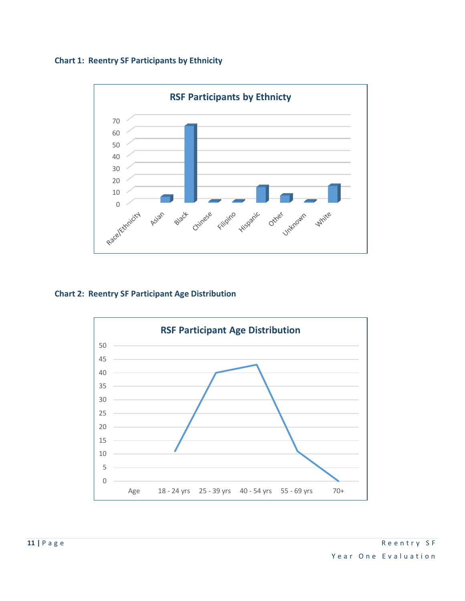



#### **Chart 2: Reentry SF Participant Age Distribution**

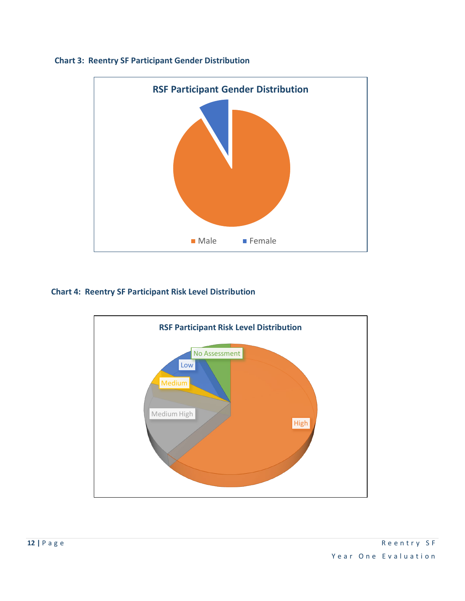

#### **Chart 3: Reentry SF Participant Gender Distribution**

#### **Chart 4: Reentry SF Participant Risk Level Distribution**

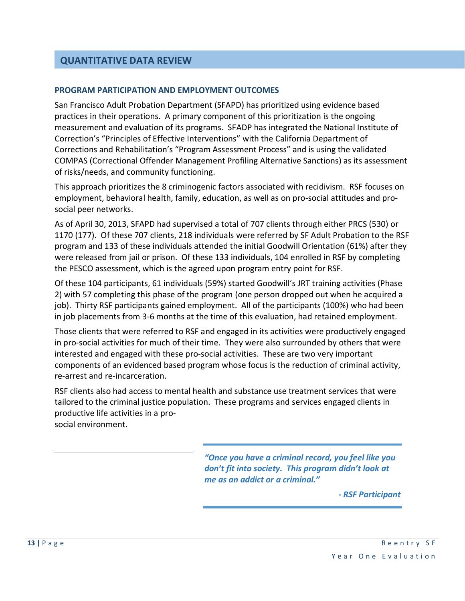#### **QUANTITATIVE DATA REVIEW**

#### **PROGRAM PARTICIPATION AND EMPLOYMENT OUTCOMES**

San Francisco Adult Probation Department (SFAPD) has prioritized using evidence based practices in their operations. A primary component of this prioritization is the ongoing measurement and evaluation of its programs. SFADP has integrated the National Institute of Correction's "Principles of Effective Interventions" with the California Department of Corrections and Rehabilitation's "Program Assessment Process" and is using the validated COMPAS (Correctional Offender Management Profiling Alternative Sanctions) as its assessment of risks/needs, and community functioning.

This approach prioritizes the 8 criminogenic factors associated with recidivism. RSF focuses on employment, behavioral health, family, education, as well as on pro-social attitudes and prosocial peer networks.

As of April 30, 2013, SFAPD had supervised a total of 707 clients through either PRCS (530) or 1170 (177). Of these 707 clients, 218 individuals were referred by SF Adult Probation to the RSF program and 133 of these individuals attended the initial Goodwill Orientation (61%) after they were released from jail or prison. Of these 133 individuals, 104 enrolled in RSF by completing the PESCO assessment, which is the agreed upon program entry point for RSF.

Of these 104 participants, 61 individuals (59%) started Goodwill's JRT training activities (Phase 2) with 57 completing this phase of the program (one person dropped out when he acquired a job). Thirty RSF participants gained employment. All of the participants (100%) who had been in job placements from 3-6 months at the time of this evaluation, had retained employment.

Those clients that were referred to RSF and engaged in its activities were productively engaged in pro-social activities for much of their time. They were also surrounded by others that were interested and engaged with these pro-social activities. These are two very important components of an evidenced based program whose focus is the reduction of criminal activity, re-arrest and re-incarceration.

RSF clients also had access to mental health and substance use treatment services that were tailored to the criminal justice population. These programs and services engaged clients in productive life activities in a prosocial environment.

*"Once you have a criminal record, you feel like you don't fit into society. This program didn't look at me as an addict or a criminal."*

*- RSF Participant*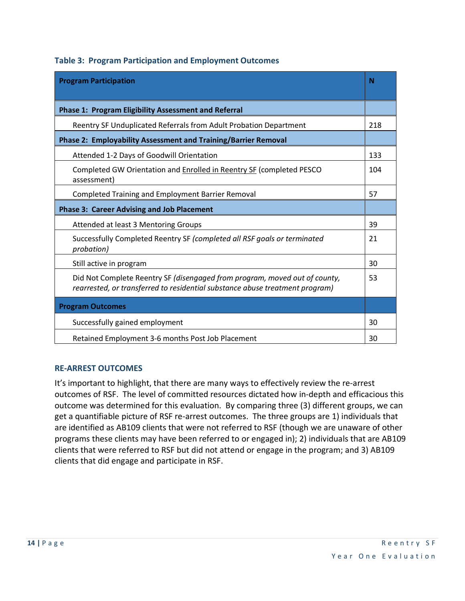| <b>Program Participation</b>                                                                                                                               | N   |  |  |
|------------------------------------------------------------------------------------------------------------------------------------------------------------|-----|--|--|
| <b>Phase 1: Program Eligibility Assessment and Referral</b>                                                                                                |     |  |  |
| Reentry SF Unduplicated Referrals from Adult Probation Department                                                                                          | 218 |  |  |
| <b>Phase 2: Employability Assessment and Training/Barrier Removal</b>                                                                                      |     |  |  |
| Attended 1-2 Days of Goodwill Orientation                                                                                                                  | 133 |  |  |
| Completed GW Orientation and Enrolled in Reentry SF (completed PESCO<br>assessment)                                                                        | 104 |  |  |
| <b>Completed Training and Employment Barrier Removal</b>                                                                                                   | 57  |  |  |
| <b>Phase 3: Career Advising and Job Placement</b>                                                                                                          |     |  |  |
| Attended at least 3 Mentoring Groups                                                                                                                       | 39  |  |  |
| Successfully Completed Reentry SF (completed all RSF goals or terminated<br>probation)                                                                     | 21  |  |  |
| Still active in program                                                                                                                                    | 30  |  |  |
| Did Not Complete Reentry SF (disengaged from program, moved out of county,<br>rearrested, or transferred to residential substance abuse treatment program) | 53  |  |  |
| <b>Program Outcomes</b>                                                                                                                                    |     |  |  |
| Successfully gained employment                                                                                                                             | 30  |  |  |
| Retained Employment 3-6 months Post Job Placement                                                                                                          | 30  |  |  |

#### **RE-ARREST OUTCOMES**

It's important to highlight, that there are many ways to effectively review the re-arrest outcomes of RSF. The level of committed resources dictated how in-depth and efficacious this outcome was determined for this evaluation. By comparing three (3) different groups, we can get a quantifiable picture of RSF re-arrest outcomes. The three groups are 1) individuals that are identified as AB109 clients that were not referred to RSF (though we are unaware of other programs these clients may have been referred to or engaged in); 2) individuals that are AB109 clients that were referred to RSF but did not attend or engage in the program; and 3) AB109 clients that did engage and participate in RSF.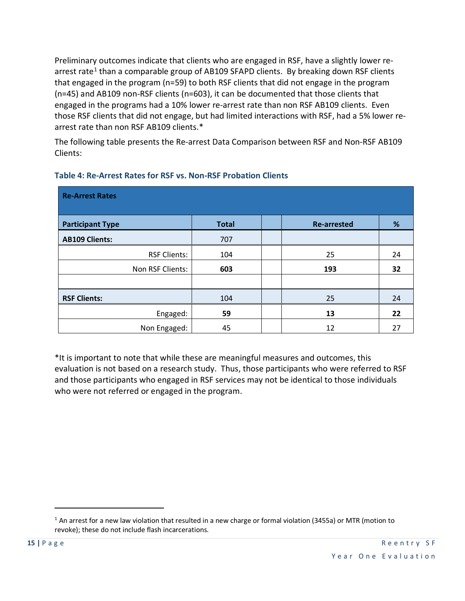Preliminary outcomes indicate that clients who are engaged in RSF, have a slightly lower re-arrest rate<sup>[1](#page-15-0)</sup> than a comparable group of AB109 SFAPD clients. By breaking down RSF clients that engaged in the program (n=59) to both RSF clients that did not engage in the program (n=45) and AB109 non-RSF clients (n=603), it can be documented that those clients that engaged in the programs had a 10% lower re-arrest rate than non RSF AB109 clients. Even those RSF clients that did not engage, but had limited interactions with RSF, had a 5% lower rearrest rate than non RSF AB109 clients.\*

The following table presents the Re-arrest Data Comparison between RSF and Non-RSF AB109 Clients:

| <b>Re-Arrest Rates</b>  |              |                    |    |
|-------------------------|--------------|--------------------|----|
| <b>Participant Type</b> | <b>Total</b> | <b>Re-arrested</b> | %  |
| <b>AB109 Clients:</b>   | 707          |                    |    |
| <b>RSF Clients:</b>     | 104          | 25                 | 24 |
| Non RSF Clients:        | 603          | 193                | 32 |
|                         |              |                    |    |
| <b>RSF Clients:</b>     | 104          | 25                 | 24 |
| Engaged:                | 59           | 13                 | 22 |
| Non Engaged:            | 45           | 12                 | 27 |

#### **Table 4: Re-Arrest Rates for RSF vs. Non-RSF Probation Clients**

\*It is important to note that while these are meaningful measures and outcomes, this evaluation is not based on a research study. Thus, those participants who were referred to RSF and those participants who engaged in RSF services may not be identical to those individuals who were not referred or engaged in the program.

 $\overline{a}$ 

<span id="page-15-0"></span><sup>&</sup>lt;sup>1</sup> An arrest for a new law violation that resulted in a new charge or formal violation (3455a) or MTR (motion to revoke); these do not include flash incarcerations.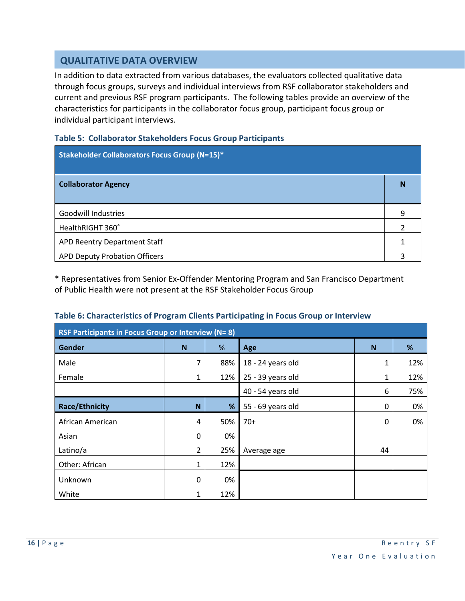#### **QUALITATIVE DATA OVERVIEW**

In addition to data extracted from various databases, the evaluators collected qualitative data through focus groups, surveys and individual interviews from RSF collaborator stakeholders and current and previous RSF program participants. The following tables provide an overview of the characteristics for participants in the collaborator focus group, participant focus group or individual participant interviews.

#### **Table 5: Collaborator Stakeholders Focus Group Participants**

| <b>Stakeholder Collaborators Focus Group (N=15)*</b> |   |
|------------------------------------------------------|---|
| <b>Collaborator Agency</b>                           |   |
| <b>Goodwill Industries</b>                           | q |
| HealthRIGHT 360°                                     |   |
| APD Reentry Department Staff                         |   |
| <b>APD Deputy Probation Officers</b>                 |   |

\* Representatives from Senior Ex-Offender Mentoring Program and San Francisco Department of Public Health were not present at the RSF Stakeholder Focus Group

#### **Table 6: Characteristics of Program Clients Participating in Focus Group or Interview**

| RSF Participants in Focus Group or Interview (N= 8) |   |     |                   |          |     |
|-----------------------------------------------------|---|-----|-------------------|----------|-----|
| <b>Gender</b>                                       | N | %   | Age               | N        | %   |
| Male                                                | 7 | 88% | 18 - 24 years old | 1        | 12% |
| Female                                              | 1 | 12% | 25 - 39 years old | 1        | 12% |
|                                                     |   |     | 40 - 54 years old | 6        | 75% |
| <b>Race/Ethnicity</b>                               | N | %   | 55 - 69 years old | 0        | 0%  |
| African American                                    | 4 | 50% | $70+$             | $\Omega$ | 0%  |
| Asian                                               | 0 | 0%  |                   |          |     |
| Latino/a                                            | 2 | 25% | Average age       | 44       |     |
| Other: African                                      | 1 | 12% |                   |          |     |
| Unknown                                             | 0 | 0%  |                   |          |     |
| White                                               | 1 | 12% |                   |          |     |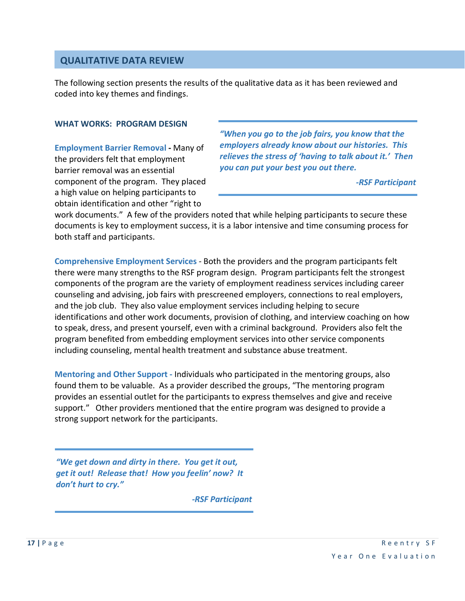#### **QUALITATIVE DATA REVIEW**

The following section presents the results of the qualitative data as it has been reviewed and coded into key themes and findings.

#### **WHAT WORKS: PROGRAM DESIGN**

**Employment Barrier Removal -** Many of the providers felt that employment barrier removal was an essential component of the program. They placed a high value on helping participants to obtain identification and other "right to

*"When you go to the job fairs, you know that the employers already know about our histories. This relieves the stress of 'having to talk about it.' Then you can put your best you out there.*

*-RSF Participant*

work documents." A few of the providers noted that while helping participants to secure these documents is key to employment success, it is a labor intensive and time consuming process for both staff and participants.

**Comprehensive Employment Services** *-* Both the providers and the program participants felt there were many strengths to the RSF program design. Program participants felt the strongest components of the program are the variety of employment readiness services including career counseling and advising, job fairs with prescreened employers, connections to real employers, and the job club. They also value employment services including helping to secure identifications and other work documents, provision of clothing, and interview coaching on how to speak, dress, and present yourself, even with a criminal background. Providers also felt the program benefited from embedding employment services into other service components including counseling, mental health treatment and substance abuse treatment.

**Mentoring and Other Support -** Individuals who participated in the mentoring groups, also found them to be valuable. As a provider described the groups, "The mentoring program provides an essential outlet for the participants to express themselves and give and receive support." Other providers mentioned that the entire program was designed to provide a strong support network for the participants.

*"We get down and dirty in there. You get it out, get it out! Release that! How you feelin' now? It don't hurt to cry."*

*-RSF Participant*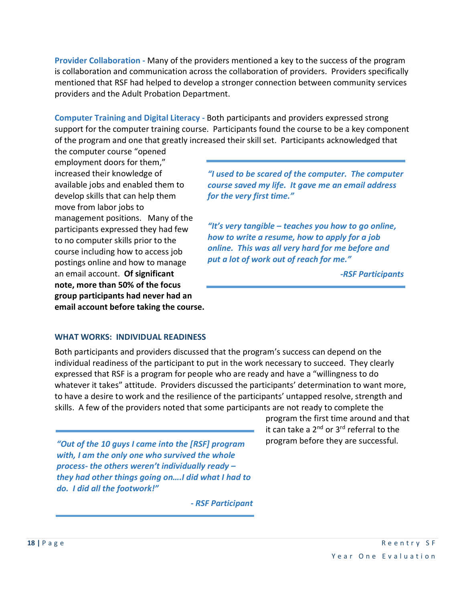**Provider Collaboration -** Many of the providers mentioned a key to the success of the program is collaboration and communication across the collaboration of providers. Providers specifically mentioned that RSF had helped to develop a stronger connection between community services providers and the Adult Probation Department.

**Computer Training and Digital Literacy -** Both participants and providers expressed strong support for the computer training course. Participants found the course to be a key component of the program and one that greatly increased their skill set. Participants acknowledged that

the computer course "opened employment doors for them," increased their knowledge of available jobs and enabled them to develop skills that can help them move from labor jobs to management positions. Many of the participants expressed they had few to no computer skills prior to the course including how to access job postings online and how to manage an email account. **Of significant note, more than 50% of the focus group participants had never had an email account before taking the course.**

*"I used to be scared of the computer. The computer course saved my life. It gave me an email address for the very first time."*

*"It's very tangible – teaches you how to go online, how to write a resume, how to apply for a job online. This was all very hard for me before and put a lot of work out of reach for me."*

*-RSF Participants*

#### **WHAT WORKS: INDIVIDUAL READINESS**

Both participants and providers discussed that the program's success can depend on the individual readiness of the participant to put in the work necessary to succeed. They clearly expressed that RSF is a program for people who are ready and have a "willingness to do whatever it takes" attitude. Providers discussed the participants' determination to want more, to have a desire to work and the resilience of the participants' untapped resolve, strength and skills. A few of the providers noted that some participants are not ready to complete the

*"Out of the 10 guys I came into the [RSF] program with, I am the only one who survived the whole process- the others weren't individually ready – they had other things going on….I did what I had to do. I did all the footwork!"*

*- RSF Participant*

program the first time around and that it can take a 2<sup>nd</sup> or 3<sup>rd</sup> referral to the program before they are successful.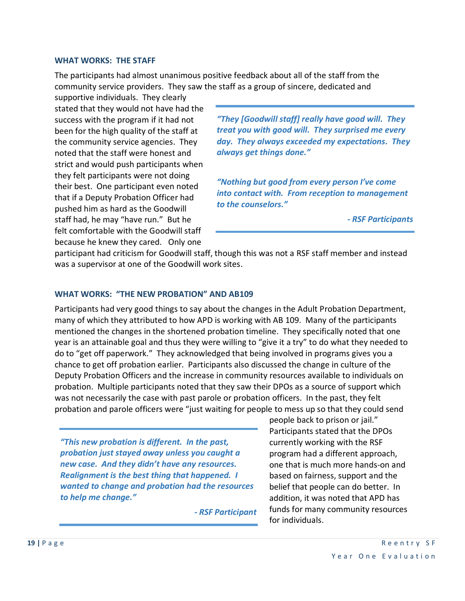#### **WHAT WORKS: THE STAFF**

The participants had almost unanimous positive feedback about all of the staff from the community service providers. They saw the staff as a group of sincere, dedicated and

supportive individuals. They clearly stated that they would not have had the success with the program if it had not been for the high quality of the staff at the community service agencies. They noted that the staff were honest and strict and would push participants when they felt participants were not doing their best. One participant even noted that if a Deputy Probation Officer had pushed him as hard as the Goodwill staff had, he may "have run." But he felt comfortable with the Goodwill staff because he knew they cared. Only one

*"They [Goodwill staff] really have good will. They treat you with good will. They surprised me every day. They always exceeded my expectations. They always get things done."*

*"Nothing but good from every person I've come into contact with. From reception to management to the counselors."*

*- RSF Participants*

participant had criticism for Goodwill staff, though this was not a RSF staff member and instead was a supervisor at one of the Goodwill work sites.

#### **WHAT WORKS: "THE NEW PROBATION" AND AB109**

Participants had very good things to say about the changes in the Adult Probation Department, many of which they attributed to how APD is working with AB 109. Many of the participants mentioned the changes in the shortened probation timeline. They specifically noted that one year is an attainable goal and thus they were willing to "give it a try" to do what they needed to do to "get off paperwork." They acknowledged that being involved in programs gives you a chance to get off probation earlier. Participants also discussed the change in culture of the Deputy Probation Officers and the increase in community resources available to individuals on probation. Multiple participants noted that they saw their DPOs as a source of support which was not necessarily the case with past parole or probation officers. In the past, they felt probation and parole officers were "just waiting for people to mess up so that they could send

*"This new probation is different. In the past, probation just stayed away unless you caught a new case. And they didn't have any resources. Realignment is the best thing that happened. I wanted to change and probation had the resources to help me change."*

*- RSF Participant*

people back to prison or jail." Participants stated that the DPOs currently working with the RSF program had a different approach, one that is much more hands-on and based on fairness, support and the belief that people can do better. In addition, it was noted that APD has funds for many community resources for individuals.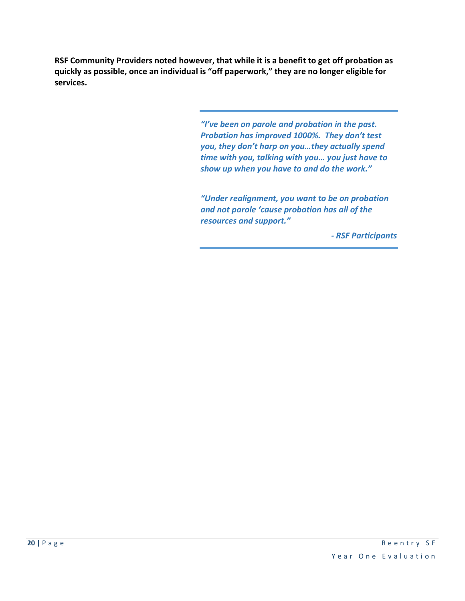**RSF Community Providers noted however, that while it is a benefit to get off probation as quickly as possible, once an individual is "off paperwork," they are no longer eligible for services.** 

> *"I've been on parole and probation in the past. Probation has improved 1000%. They don't test you, they don't harp on you…they actually spend time with you, talking with you… you just have to show up when you have to and do the work."*

> *"Under realignment, you want to be on probation and not parole 'cause probation has all of the resources and support."*

> > *- RSF Participants*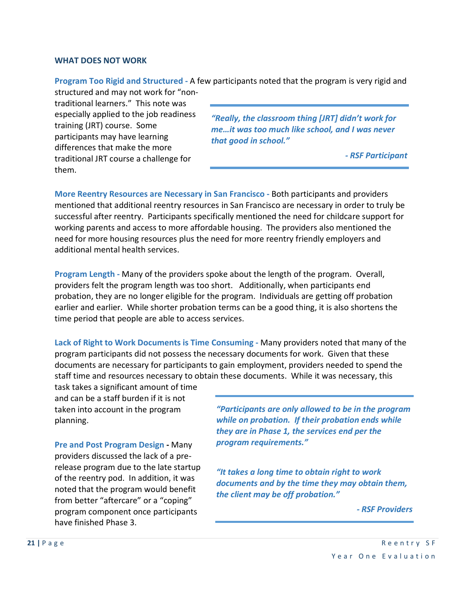#### **WHAT DOES NOT WORK**

**Program Too Rigid and Structured -** A few participants noted that the program is very rigid and structured and may not work for "non-

traditional learners." This note was especially applied to the job readiness training (JRT) course. Some participants may have learning differences that make the more traditional JRT course a challenge for them.

*"Really, the classroom thing [JRT] didn't work for me…it was too much like school, and I was never that good in school."*

*- RSF Participant*

**More Reentry Resources are Necessary in San Francisco -** Both participants and providers mentioned that additional reentry resources in San Francisco are necessary in order to truly be successful after reentry. Participants specifically mentioned the need for childcare support for working parents and access to more affordable housing. The providers also mentioned the need for more housing resources plus the need for more reentry friendly employers and additional mental health services.

**Program Length -** Many of the providers spoke about the length of the program. Overall, providers felt the program length was too short. Additionally, when participants end probation, they are no longer eligible for the program. Individuals are getting off probation earlier and earlier. While shorter probation terms can be a good thing, it is also shortens the time period that people are able to access services.

**Lack of Right to Work Documents is Time Consuming -** Many providers noted that many of the program participants did not possess the necessary documents for work. Given that these documents are necessary for participants to gain employment, providers needed to spend the staff time and resources necessary to obtain these documents. While it was necessary, this

task takes a significant amount of time and can be a staff burden if it is not taken into account in the program planning.

**Pre and Post Program Design -** Many providers discussed the lack of a prerelease program due to the late startup of the reentry pod. In addition, it was noted that the program would benefit from better "aftercare" or a "coping" program component once participants have finished Phase 3.

*"Participants are only allowed to be in the program while on probation. If their probation ends while they are in Phase 1, the services end per the program requirements."*

*"It takes a long time to obtain right to work documents and by the time they may obtain them, the client may be off probation."*

*- RSF Providers*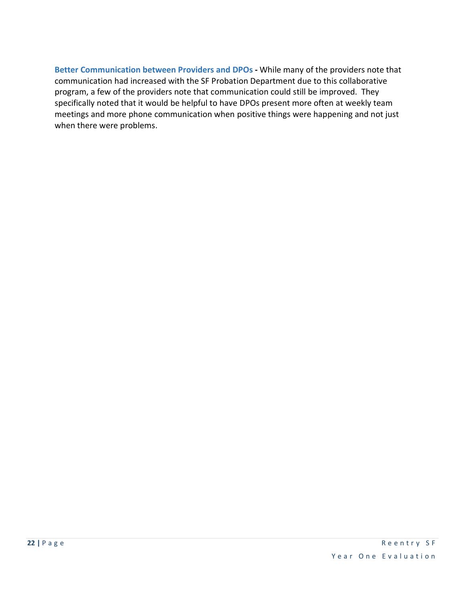**Better Communication between Providers and DPOs -** While many of the providers note that communication had increased with the SF Probation Department due to this collaborative program, a few of the providers note that communication could still be improved. They specifically noted that it would be helpful to have DPOs present more often at weekly team meetings and more phone communication when positive things were happening and not just when there were problems.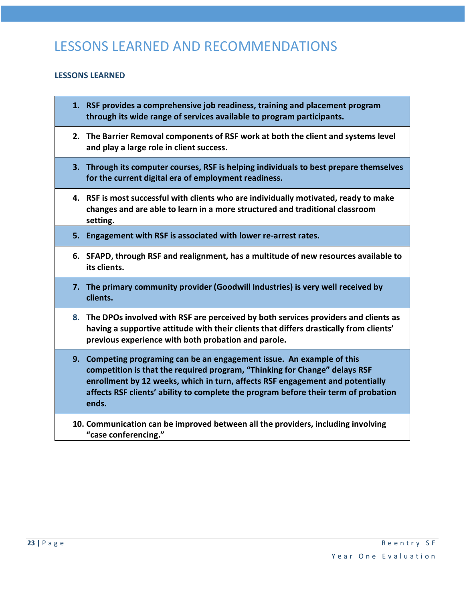# LESSONS LEARNED AND RECOMMENDATIONS

#### **LESSONS LEARNED**

- **1. RSF provides a comprehensive job readiness, training and placement program through its wide range of services available to program participants.**
- **2. The Barrier Removal components of RSF work at both the client and systems level and play a large role in client success.**
- **3. Through its computer courses, RSF is helping individuals to best prepare themselves for the current digital era of employment readiness.**
- **4. RSF is most successful with clients who are individually motivated, ready to make changes and are able to learn in a more structured and traditional classroom setting.**
- **5. Engagement with RSF is associated with lower re-arrest rates.**
- **6. SFAPD, through RSF and realignment, has a multitude of new resources available to its clients.**
- **7. The primary community provider (Goodwill Industries) is very well received by clients.**
- **8. The DPOs involved with RSF are perceived by both services providers and clients as having a supportive attitude with their clients that differs drastically from clients' previous experience with both probation and parole.**
- **9. Competing programing can be an engagement issue. An example of this competition is that the required program, "Thinking for Change" delays RSF enrollment by 12 weeks, which in turn, affects RSF engagement and potentially affects RSF clients' ability to complete the program before their term of probation ends.**
- **10. Communication can be improved between all the providers, including involving "case conferencing."**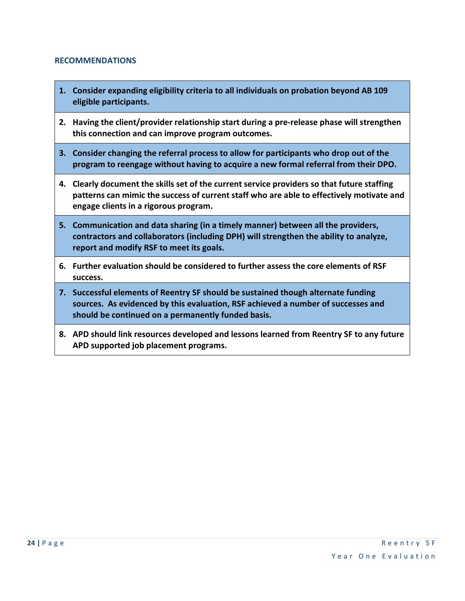#### **RECOMMENDATIONS**

- **1. Consider expanding eligibility criteria to all individuals on probation beyond AB 109 eligible participants.**
- **2. Having the client/provider relationship start during a pre-release phase will strengthen this connection and can improve program outcomes.**
- **3. Consider changing the referral process to allow for participants who drop out of the program to reengage without having to acquire a new formal referral from their DPO.**
- **4. Clearly document the skills set of the current service providers so that future staffing patterns can mimic the success of current staff who are able to effectively motivate and engage clients in a rigorous program.**
- **5. Communication and data sharing (in a timely manner) between all the providers, contractors and collaborators (including DPH) will strengthen the ability to analyze, report and modify RSF to meet its goals.**
- **6. Further evaluation should be considered to further assess the core elements of RSF success.**
- **7. Successful elements of Reentry SF should be sustained though alternate funding sources. As evidenced by this evaluation, RSF achieved a number of successes and should be continued on a permanently funded basis.**
- **8. APD should link resources developed and lessons learned from Reentry SF to any future APD supported job placement programs.**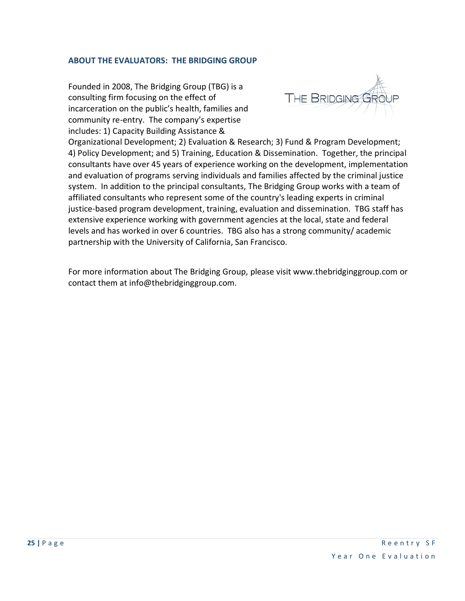#### **ABOUT THE EVALUATORS: THE BRIDGING GROUP**

Founded in 2008, The Bridging Group (TBG) is a consulting firm focusing on the effect of incarceration on the public's health, families and community re-entry. The company's expertise includes: 1) Capacity Building Assistance &



Organizational Development; 2) Evaluation & Research; 3) Fund & Program Development; 4) Policy Development; and 5) Training, Education & Dissemination. Together, the principal consultants have over 45 years of experience working on the development, implementation and evaluation of programs serving individuals and families affected by the criminal justice system. In addition to the principal consultants, The Bridging Group works with a team of [affiliated consultants](http://www.thebridginggroup.com/about.html#affiliated) who represent some of the country's leading experts in criminal justice-based program development, training, evaluation and dissemination. TBG staff has extensive experience working with government agencies at the local, state and federal levels and has worked in over 6 countries. TBG also has a strong community/ academic partnership with the University of California, San Francisco.

For more information about The Bridging Group, please visit [www.thebridginggroup.com](http://www.thebridginggroup.com/) or contact them at info@thebridginggroup.com.